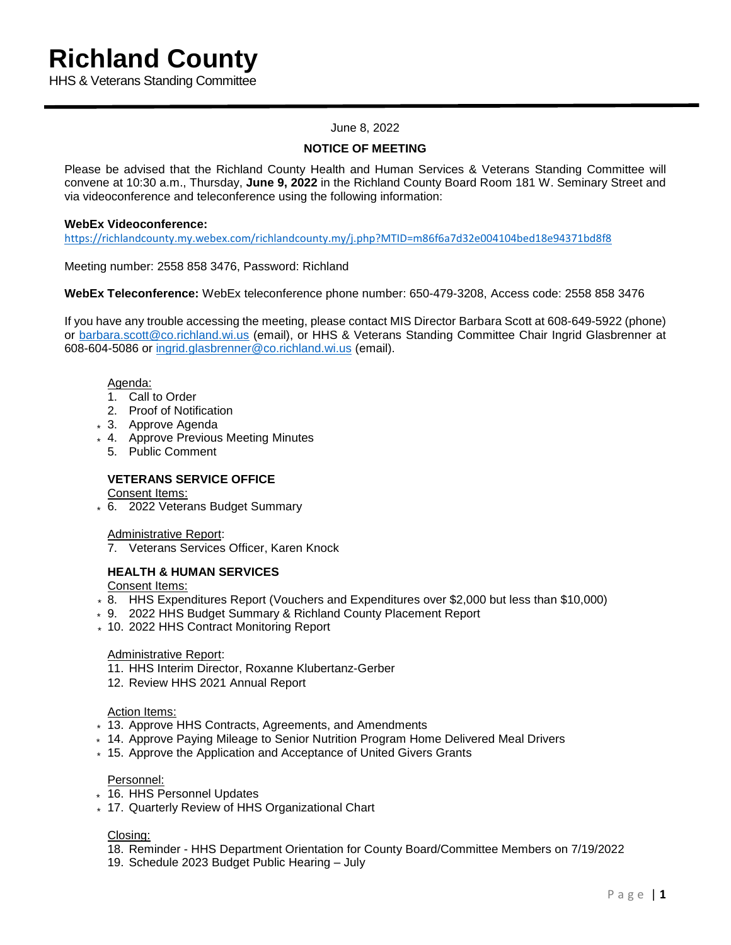HHS & Veterans Standing Committee

## June 8, 2022

# **NOTICE OF MEETING**

Please be advised that the Richland County Health and Human Services & Veterans Standing Committee will convene at 10:30 a.m., Thursday, **June 9, 2022** in the Richland County Board Room 181 W. Seminary Street and via videoconference and teleconference using the following information:

## **WebEx Videoconference:**

<https://richlandcounty.my.webex.com/richlandcounty.my/j.php?MTID=m86f6a7d32e004104bed18e94371bd8f8>

Meeting number: 2558 858 3476, Password: Richland

**WebEx Teleconference:** WebEx teleconference phone number: 650-479-3208, Access code: 2558 858 3476

If you have any trouble accessing the meeting, please contact MIS Director Barbara Scott at 608-649-5922 (phone) or [barbara.scott@co.richland.wi.us](mailto:barbara.scott@co.richland.wi.us) (email), or HHS & Veterans Standing Committee Chair Ingrid Glasbrenner at 608-604-5086 or [ingrid.glasbrenner@co.richland.wi.us](mailto:ingrid.glasbrenner@co.richland.wi.us) (email).

#### Agenda:

- 1. Call to Order
- 2. Proof of Notification
- 3. Approve Agenda \*
- 4. Approve Previous Meeting Minutes \*
	- 5. Public Comment

# **VETERANS SERVICE OFFICE**

Consent Items:

6. 2022 Veterans Budget Summary \*

Administrative Report:

7. Veterans Services Officer, Karen Knock

## **HEALTH & HUMAN SERVICES**

Consent Items:

- \* 8. HHS Expenditures Report (Vouchers and Expenditures over \$2,000 but less than \$10,000)
- 9. 2022 HHS Budget Summary & Richland County Placement Report \*
- 10. 2022 HHS Contract Monitoring Report \*

## Administrative Report:

- 11. HHS Interim Director, Roxanne Klubertanz-Gerber
- 12. Review HHS 2021 Annual Report

## Action Items:

- 13. Approve HHS Contracts, Agreements, and Amendments \*
- 14. Approve Paying Mileage to Senior Nutrition Program Home Delivered Meal Drivers \*
- 15. Approve the Application and Acceptance of United Givers Grants \*

#### Personnel:

- 16. HHS Personnel Updates \*
- 17. Quarterly Review of HHS Organizational Chart \*

#### Closing:

- 18. Reminder HHS Department Orientation for County Board/Committee Members on 7/19/2022
- 19. Schedule 2023 Budget Public Hearing July